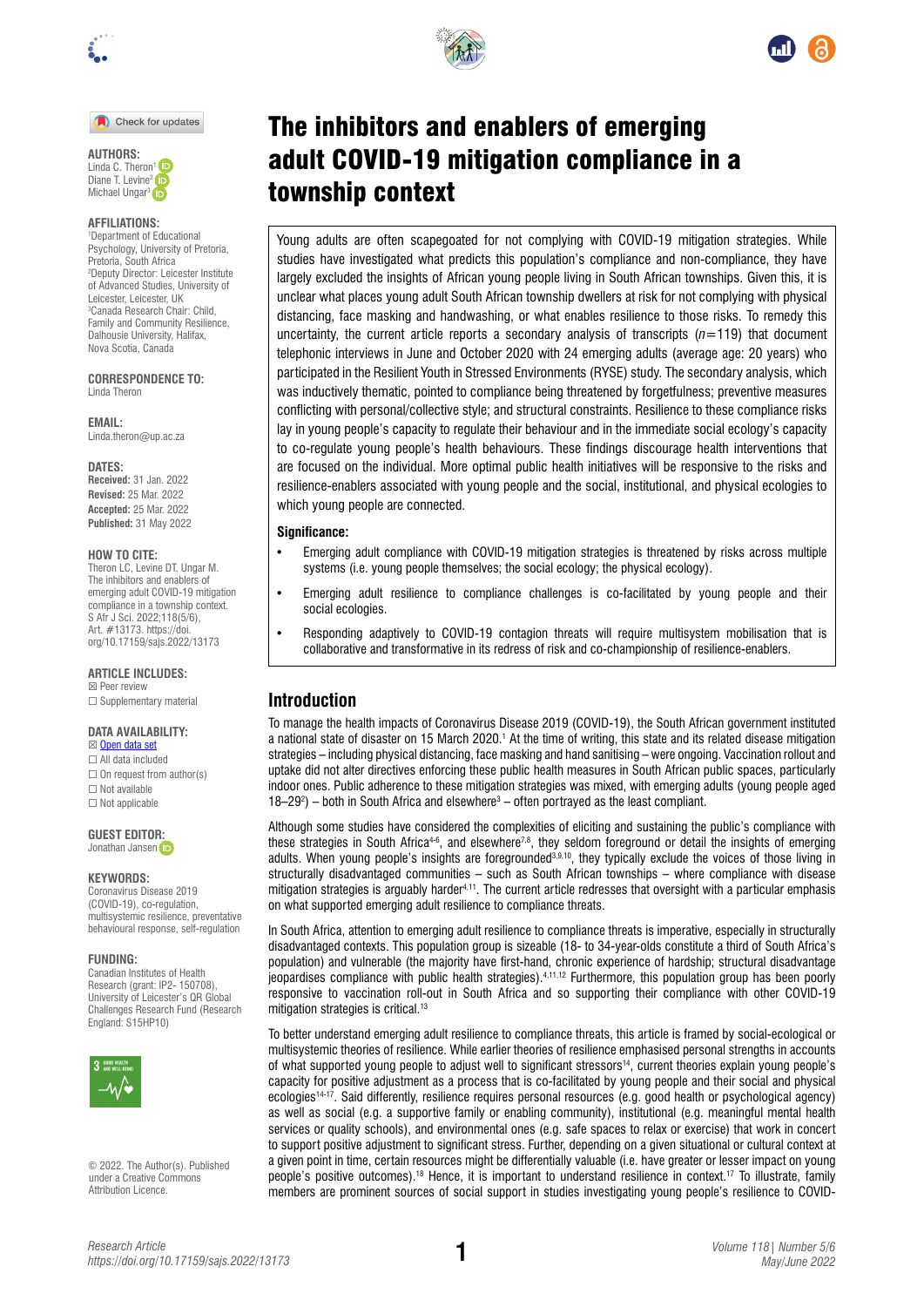

Check for updates



#### **AFFILIATIONS:**

1 Department of Educational Psychology, University of Pretoria, Pretoria, South Africa 2 Deputy Director: Leicester Institute of Advanced Studies, University of Leicester, Leicester, UK 3 Canada Research Chair: Child, Family and Community Resilience, Dalhousie University, Halifax, Nova Scotia, Canada

**CORRESPONDENCE TO:**  Linda Theron

**EMAIL:**  [Linda.theron@up.ac.za](mailto:Linda.theron@up.ac.za)

**DATES: Received:** 31 Jan. 2022 **Revised:** 25 Mar. 2022 **Accepted:** 25 Mar. 2022 **Published:** 31 May 2022

#### **HOW TO CITE:**

Theron LC, Levine DT, Ungar M. The inhibitors and enablers of emerging adult COVID-19 mitigation compliance in a township context. S Afr J Sci. 2022;118(5/6), Art. #13173. [https://doi.](https://doi.org/10.17159/sajs.2022/13173) [org/10.17159/sajs.2022/13173](https://doi.org/10.17159/sajs.2022/13173)

**ARTICLE INCLUDES:** ☒ Peer review

□ Supplementary material

## **DATA AVAILABILITY:**

- ☒ [Open data set](https://doi.org/10.25392/leicester.data.17129858) ☐ All data included
- $\Box$  On request from author(s) ☐ Not available ☐ Not applicable

**GUEST EDITO[R:](https://orcid.org/0000-0002-8614-5678)**  Jonathan Jansen iD

#### **KEYWORDS:**

Coronavirus Disease 2019 (COVID-19), co-regulation, multisystemic resilience, preventative behavioural response, self-regulation

#### **FUNDING:**

Canadian Institutes of Health Research (grant: IP2- 150708), University of Leicester's QR Global Challenges Research Fund (Research England: S15HP10)



© 2022. The Author(s). Published under a [Creative Commons](https://creativecommons.org/licenses/by/4.0/)  [Attribution Licence.](https://creativecommons.org/licenses/by/4.0/)





# The inhibitors and enablers of emerging adult COVID-19 mitigation compliance in a township context

Young adults are often scapegoated for not complying with COVID-19 mitigation strategies. While studies have investigated what predicts this population's compliance and non-compliance, they have largely excluded the insights of African young people living in South African townships. Given this, it is unclear what places young adult South African township dwellers at risk for not complying with physical distancing, face masking and handwashing, or what enables resilience to those risks. To remedy this uncertainty, the current article reports a secondary analysis of transcripts (*n*=119) that document telephonic interviews in June and October 2020 with 24 emerging adults (average age: 20 years) who participated in the Resilient Youth in Stressed Environments (RYSE) study. The secondary analysis, which was inductively thematic, pointed to compliance being threatened by forgetfulness; preventive measures conflicting with personal/collective style; and structural constraints. Resilience to these compliance risks lay in young people's capacity to regulate their behaviour and in the immediate social ecology's capacity to co-regulate young people's health behaviours. These findings discourage health interventions that are focused on the individual. More optimal public health initiatives will be responsive to the risks and resilience-enablers associated with young people and the social, institutional, and physical ecologies to which young people are connected.

#### **Significance:**

- Emerging adult compliance with COVID-19 mitigation strategies is threatened by risks across multiple systems (i.e. young people themselves; the social ecology; the physical ecology).
- Emerging adult resilience to compliance challenges is co-facilitated by young people and their social ecologies.
- Responding adaptively to COVID-19 contagion threats will require multisystem mobilisation that is collaborative and transformative in its redress of risk and co-championship of resilience-enablers.

# **Introduction**

To manage the health impacts of Coronavirus Disease 2019 (COVID-19), the South African government instituted a national state of disaster on 15 March 2020.<sup>1</sup> At the time of writing, this state and its related disease mitigation strategies – including physical distancing, face masking and hand sanitising – were ongoing. Vaccination rollout and uptake did not alter directives enforcing these public health measures in South African public spaces, particularly indoor ones. Public adherence to these mitigation strategies was mixed, with emerging adults (young people aged  $18-29^2$ ) – both in South Africa and elsewhere<sup>3</sup> – often portrayed as the least compliant.

Although some studies have considered the complexities of eliciting and sustaining the public's compliance with these strategies in South Africa<sup>4-6</sup>, and elsewhere<sup>7,8</sup>, they seldom foreground or detail the insights of emerging adults. When young people's insights are foregrounded<sup>3,9,10</sup>, they typically exclude the voices of those living in structurally disadvantaged communities – such as South African townships – where compliance with disease mitigation strategies is arguably harder<sup>4,11</sup>. The current article redresses that oversight with a particular emphasis on what supported emerging adult resilience to compliance threats.

In South Africa, attention to emerging adult resilience to compliance threats is imperative, especially in structurally disadvantaged contexts. This population group is sizeable (18- to 34-year-olds constitute a third of South Africa's population) and vulnerable (the majority have first-hand, chronic experience of hardship; structural disadvantage jeopardises compliance with public health strategies).4,11,12 Furthermore, this population group has been poorly responsive to vaccination roll-out in South Africa and so supporting their compliance with other COVID-19 mitigation strategies is critical.<sup>13</sup>

To better understand emerging adult resilience to compliance threats, this article is framed by social-ecological or multisystemic theories of resilience. While earlier theories of resilience emphasised personal strengths in accounts of what supported young people to adjust well to significant stressors<sup>14</sup>, current theories explain young people's capacity for positive adjustment as a process that is co-facilitated by young people and their social and physical ecologies<sup>14-17</sup>. Said differently, resilience requires personal resources (e.g. good health or psychological agency) as well as social (e.g. a supportive family or enabling community), institutional (e.g. meaningful mental health services or quality schools), and environmental ones (e.g. safe spaces to relax or exercise) that work in concert to support positive adjustment to significant stress. Further, depending on a given situational or cultural context at a given point in time, certain resources might be differentially valuable (i.e. have greater or lesser impact on young people's positive outcomes).18 Hence, it is important to understand resilience in context.17 To illustrate, family members are prominent sources of social support in studies investigating young people's resilience to COVID-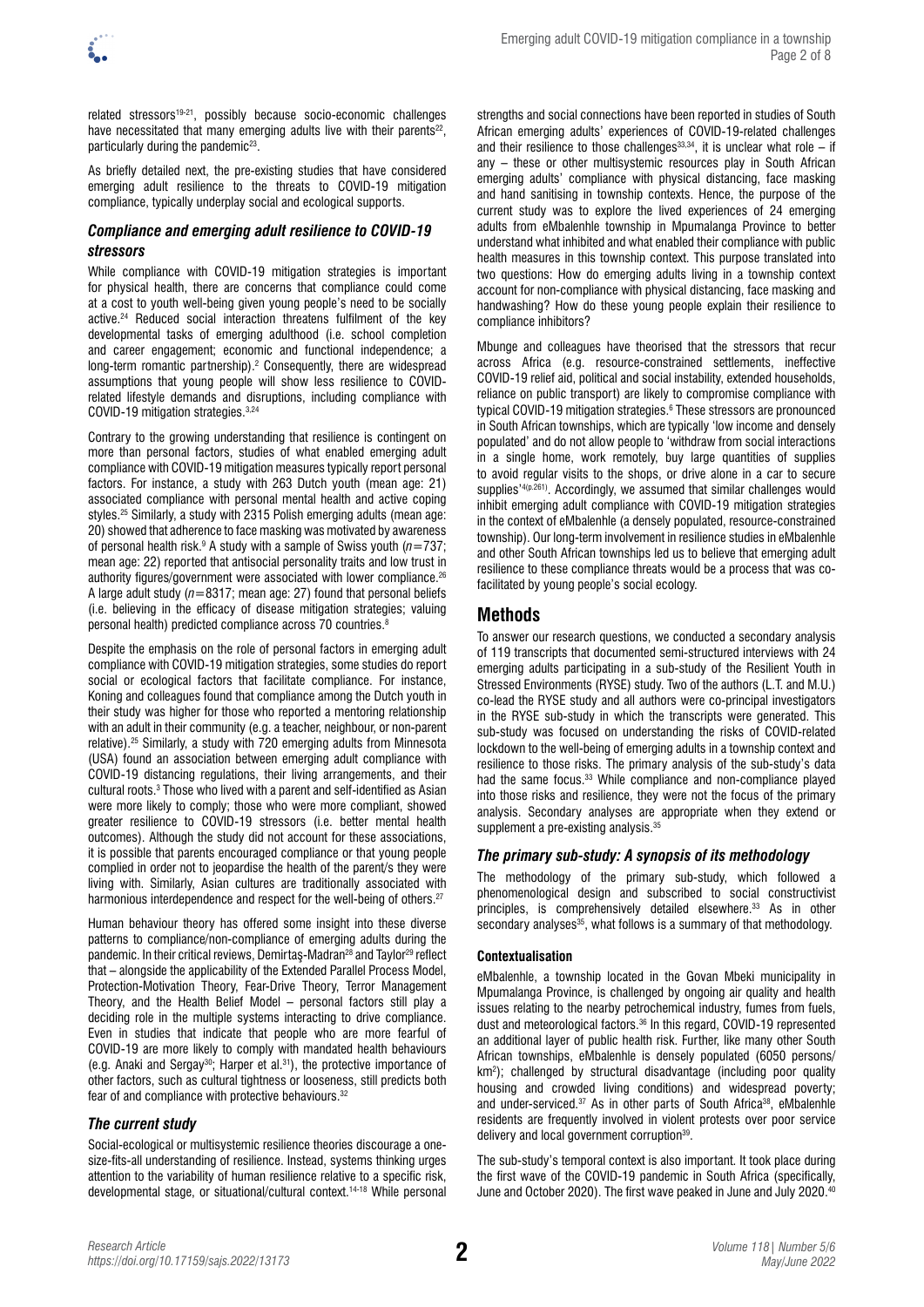related stressors<sup>19-21</sup>, possibly because socio-economic challenges have necessitated that many emerging adults live with their parents<sup>22</sup>, particularly during the pandemic<sup>23</sup>.

As briefly detailed next, the pre-existing studies that have considered emerging adult resilience to the threats to COVID-19 mitigation compliance, typically underplay social and ecological supports.

## *Compliance and emerging adult resilience to COVID-19 stressors*

While compliance with COVID-19 mitigation strategies is important for physical health, there are concerns that compliance could come at a cost to youth well-being given young people's need to be socially active.<sup>24</sup> Reduced social interaction threatens fulfilment of the key developmental tasks of emerging adulthood (i.e. school completion and career engagement; economic and functional independence; a long-term romantic partnership).<sup>2</sup> Consequently, there are widespread assumptions that young people will show less resilience to COVIDrelated lifestyle demands and disruptions, including compliance with COVID-19 mitigation strategies.3,24

Contrary to the growing understanding that resilience is contingent on more than personal factors, studies of what enabled emerging adult compliance with COVID-19 mitigation measures typically report personal factors. For instance, a study with 263 Dutch youth (mean age: 21) associated compliance with personal mental health and active coping styles.25 Similarly, a study with 2315 Polish emerging adults (mean age: 20) showed that adherence to face masking was motivated by awareness of personal health risk.9 A study with a sample of Swiss youth (*n*=737; mean age: 22) reported that antisocial personality traits and low trust in authority figures/government were associated with lower compliance.<sup>26</sup> A large adult study (*n*=8317; mean age: 27) found that personal beliefs (i.e. believing in the efficacy of disease mitigation strategies; valuing personal health) predicted compliance across 70 countries.8

Despite the emphasis on the role of personal factors in emerging adult compliance with COVID-19 mitigation strategies, some studies do report social or ecological factors that facilitate compliance. For instance, Koning and colleagues found that compliance among the Dutch youth in their study was higher for those who reported a mentoring relationship with an adult in their community (e.g. a teacher, neighbour, or non-parent relative).25 Similarly, a study with 720 emerging adults from Minnesota (USA) found an association between emerging adult compliance with COVID-19 distancing regulations, their living arrangements, and their cultural roots.<sup>3</sup> Those who lived with a parent and self-identified as Asian were more likely to comply; those who were more compliant, showed greater resilience to COVID-19 stressors (i.e. better mental health outcomes). Although the study did not account for these associations, it is possible that parents encouraged compliance or that young people complied in order not to jeopardise the health of the parent/s they were living with. Similarly, Asian cultures are traditionally associated with harmonious interdependence and respect for the well-being of others.<sup>27</sup>

Human behaviour theory has offered some insight into these diverse patterns to compliance/non-compliance of emerging adults during the pandemic. In their critical reviews, Demirtaş-Madran<sup>28</sup> and Taylor<sup>29</sup> reflect that – alongside the applicability of the Extended Parallel Process Model, Protection-Motivation Theory, Fear-Drive Theory, Terror Management Theory, and the Health Belief Model – personal factors still play a deciding role in the multiple systems interacting to drive compliance. Even in studies that indicate that people who are more fearful of COVID-19 are more likely to comply with mandated health behaviours (e.g. Anaki and Sergay<sup>30</sup>; Harper et al.<sup>31</sup>), the protective importance of other factors, such as cultural tightness or looseness, still predicts both fear of and compliance with protective behaviours.<sup>32</sup>

# *The current study*

Social-ecological or multisystemic resilience theories discourage a onesize-fits-all understanding of resilience. Instead, systems thinking urges attention to the variability of human resilience relative to a specific risk, developmental stage, or situational/cultural context.14-18 While personal

strengths and social connections have been reported in studies of South African emerging adults' experiences of COVID-19-related challenges and their resilience to those challenges<sup>33,34</sup>, it is unclear what role – if any – these or other multisystemic resources play in South African emerging adults' compliance with physical distancing, face masking and hand sanitising in township contexts. Hence, the purpose of the current study was to explore the lived experiences of 24 emerging adults from eMbalenhle township in Mpumalanga Province to better understand what inhibited and what enabled their compliance with public health measures in this township context. This purpose translated into two questions: How do emerging adults living in a township context account for non-compliance with physical distancing, face masking and handwashing? How do these young people explain their resilience to compliance inhibitors?

Mbunge and colleagues have theorised that the stressors that recur across Africa (e.g. resource-constrained settlements, ineffective COVID-19 relief aid, political and social instability, extended households, reliance on public transport) are likely to compromise compliance with typical COVID-19 mitigation strategies.<sup>6</sup> These stressors are pronounced in South African townships, which are typically 'low income and densely populated' and do not allow people to 'withdraw from social interactions in a single home, work remotely, buy large quantities of supplies to avoid regular visits to the shops, or drive alone in a car to secure supplies<sup>'4(p.261)</sup>. Accordingly, we assumed that similar challenges would inhibit emerging adult compliance with COVID-19 mitigation strategies in the context of eMbalenhle (a densely populated, resource-constrained township). Our long-term involvement in resilience studies in eMbalenhle and other South African townships led us to believe that emerging adult resilience to these compliance threats would be a process that was cofacilitated by young people's social ecology.

# **Methods**

To answer our research questions, we conducted a secondary analysis of 119 transcripts that documented semi-structured interviews with 24 emerging adults participating in a sub-study of the Resilient Youth in Stressed Environments (RYSE) study. Two of the authors (L.T. and M.U.) co-lead the RYSE study and all authors were co-principal investigators in the RYSE sub-study in which the transcripts were generated. This sub-study was focused on understanding the risks of COVID-related lockdown to the well-being of emerging adults in a township context and resilience to those risks. The primary analysis of the sub-study's data had the same focus.33 While compliance and non-compliance played into those risks and resilience, they were not the focus of the primary analysis. Secondary analyses are appropriate when they extend or supplement a pre-existing analysis.<sup>35</sup>

# *The primary sub-study: A synopsis of its methodology*

The methodology of the primary sub-study, which followed a phenomenological design and subscribed to social constructivist principles, is comprehensively detailed elsewhere.33 As in other secondary analyses<sup>35</sup>, what follows is a summary of that methodology.

## **Contextualisation**

eMbalenhle, a township located in the Govan Mbeki municipality in Mpumalanga Province, is challenged by ongoing air quality and health issues relating to the nearby petrochemical industry, fumes from fuels, dust and meteorological factors.36 In this regard, COVID-19 represented an additional layer of public health risk. Further, like many other South African townships, eMbalenhle is densely populated (6050 persons/ km<sup>2</sup>); challenged by structural disadvantage (including poor quality housing and crowded living conditions) and widespread poverty; and under-serviced.<sup>37</sup> As in other parts of South Africa<sup>38</sup>, eMbalenhle residents are frequently involved in violent protests over poor service delivery and local government corruption<sup>39</sup>.

The sub-study's temporal context is also important. It took place during the first wave of the COVID-19 pandemic in South Africa (specifically, June and October 2020). The first wave peaked in June and July 2020.40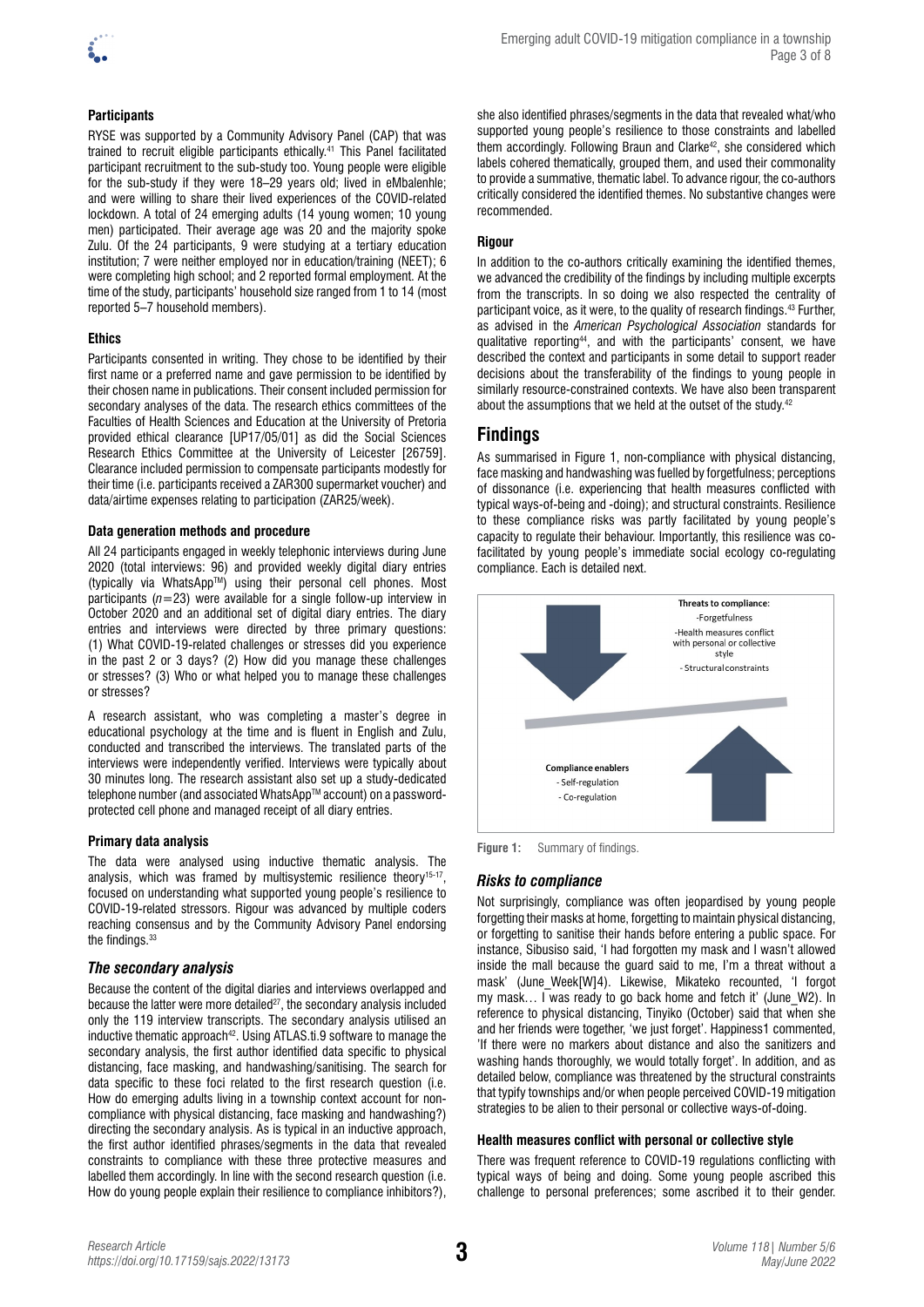

## **Participants**

RYSE was supported by a Community Advisory Panel (CAP) that was trained to recruit eligible participants ethically.41 This Panel facilitated participant recruitment to the sub-study too. Young people were eligible for the sub-study if they were 18–29 years old; lived in eMbalenhle; and were willing to share their lived experiences of the COVID-related lockdown. A total of 24 emerging adults (14 young women; 10 young men) participated. Their average age was 20 and the majority spoke Zulu. Of the 24 participants, 9 were studying at a tertiary education institution; 7 were neither employed nor in education/training (NEET); 6 were completing high school; and 2 reported formal employment. At the time of the study, participants' household size ranged from 1 to 14 (most reported 5–7 household members).

## **Ethics**

Participants consented in writing. They chose to be identified by their first name or a preferred name and gave permission to be identified by their chosen name in publications. Their consent included permission for secondary analyses of the data. The research ethics committees of the Faculties of Health Sciences and Education at the University of Pretoria provided ethical clearance [UP17/05/01] as did the Social Sciences Research Ethics Committee at the University of Leicester [26759]. Clearance included permission to compensate participants modestly for their time (i.e. participants received a ZAR300 supermarket voucher) and data/airtime expenses relating to participation (ZAR25/week).

## **Data generation methods and procedure**

All 24 participants engaged in weekly telephonic interviews during June 2020 (total interviews: 96) and provided weekly digital diary entries (typically via WhatsAppTM) using their personal cell phones. Most participants (*n=*23) were available for a single follow-up interview in October 2020 and an additional set of digital diary entries. The diary entries and interviews were directed by three primary questions: (1) What COVID-19-related challenges or stresses did you experience in the past 2 or 3 days? (2) How did you manage these challenges or stresses? (3) Who or what helped you to manage these challenges or stresses?

A research assistant, who was completing a master's degree in educational psychology at the time and is fluent in English and Zulu, conducted and transcribed the interviews. The translated parts of the interviews were independently verified. Interviews were typically about 30 minutes long. The research assistant also set up a study-dedicated telephone number (and associated WhatsApp™ account) on a passwordprotected cell phone and managed receipt of all diary entries.

## **Primary data analysis**

The data were analysed using inductive thematic analysis. The analysis, which was framed by multisystemic resilience theory<sup>15-17</sup>, focused on understanding what supported young people's resilience to COVID-19-related stressors. Rigour was advanced by multiple coders reaching consensus and by the Community Advisory Panel endorsing the findings.<sup>33</sup>

## *The secondary analysis*

Because the content of the digital diaries and interviews overlapped and because the latter were more detailed $27$ , the secondary analysis included only the 119 interview transcripts. The secondary analysis utilised an inductive thematic approach<sup>42</sup>. Using ATLAS.ti.9 software to manage the secondary analysis, the first author identified data specific to physical distancing, face masking, and handwashing/sanitising. The search for data specific to these foci related to the first research question (i.e. How do emerging adults living in a township context account for noncompliance with physical distancing, face masking and handwashing?) directing the secondary analysis. As is typical in an inductive approach, the first author identified phrases/segments in the data that revealed constraints to compliance with these three protective measures and labelled them accordingly. In line with the second research question (i.e. How do young people explain their resilience to compliance inhibitors?),

she also identified phrases/segments in the data that revealed what/who supported young people's resilience to those constraints and labelled them accordingly. Following Braun and Clarke<sup>42</sup>, she considered which labels cohered thematically, grouped them, and used their commonality to provide a summative, thematic label. To advance rigour, the co-authors critically considered the identified themes. No substantive changes were recommended.

## **Rigour**

In addition to the co-authors critically examining the identified themes, we advanced the credibility of the findings by including multiple excerpts from the transcripts. In so doing we also respected the centrality of participant voice, as it were, to the quality of research findings.43 Further, as advised in the *American Psychological Association* standards for qualitative reporting44, and with the participants' consent, we have described the context and participants in some detail to support reader decisions about the transferability of the findings to young people in similarly resource-constrained contexts. We have also been transparent about the assumptions that we held at the outset of the study.42

## **Findings**

As summarised in Figure 1, non-compliance with physical distancing, face masking and handwashing was fuelled by forgetfulness; perceptions of dissonance (i.e. experiencing that health measures conflicted with typical ways-of-being and -doing); and structural constraints. Resilience to these compliance risks was partly facilitated by young people's capacity to regulate their behaviour. Importantly, this resilience was cofacilitated by young people's immediate social ecology co-regulating compliance. Each is detailed next.



**Figure 1:** Summary of findings.

## *Risks to compliance*

Not surprisingly, compliance was often jeopardised by young people forgetting their masks at home, forgetting to maintain physical distancing, or forgetting to sanitise their hands before entering a public space. For instance, Sibusiso said, 'I had forgotten my mask and I wasn't allowed inside the mall because the guard said to me, I'm a threat without a mask' (June\_Week[W]4). Likewise, Mikateko recounted, 'I forgot my mask... I was ready to go back home and fetch it' (June W2). In reference to physical distancing, Tinyiko (October) said that when she and her friends were together, 'we just forget'. Happiness1 commented, 'If there were no markers about distance and also the sanitizers and washing hands thoroughly, we would totally forget'. In addition, and as detailed below, compliance was threatened by the structural constraints that typify townships and/or when people perceived COVID-19 mitigation strategies to be alien to their personal or collective ways-of-doing.

## **Health measures conflict with personal or collective style**

There was frequent reference to COVID-19 regulations conflicting with typical ways of being and doing. Some young people ascribed this challenge to personal preferences; some ascribed it to their gender.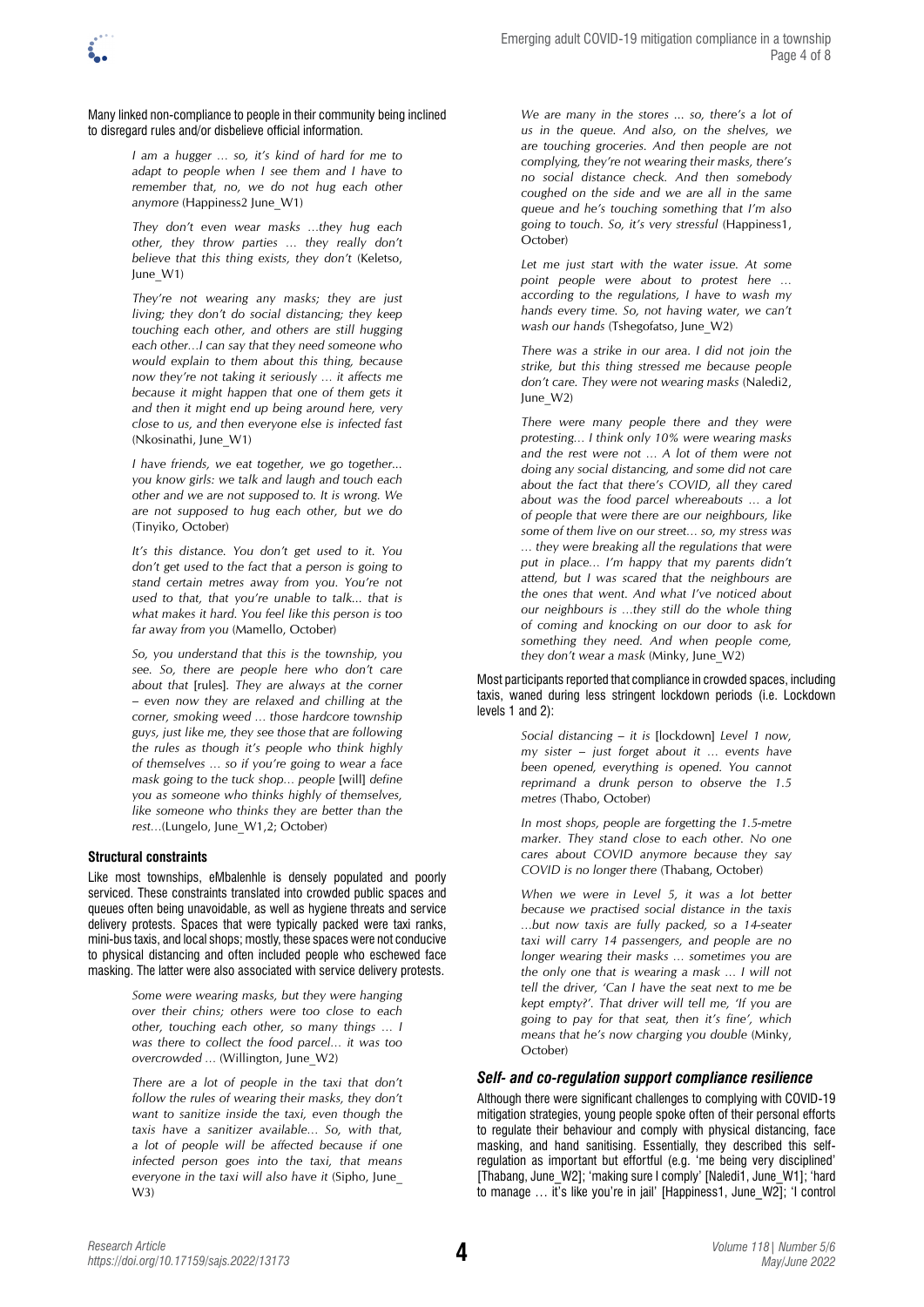Many linked non-compliance to people in their community being inclined to disregard rules and/or disbelieve official information.

> *I am a hugger … so, it's kind of hard for me to adapt to people when I see them and I have to remember that, no, we do not hug each other anymore* (Happiness2 June\_W1)

*They don't even wear masks …they hug each other, they throw parties … they really don't believe that this thing exists, they don't* (Keletso, June\_W1)

*They're not wearing any masks; they are just living; they don't do social distancing; they keep touching each other, and others are still hugging each other…I can say that they need someone who would explain to them about this thing, because now they're not taking it seriously … it affects me because it might happen that one of them gets it and then it might end up being around here, very close to us, and then everyone else is infected fast*  (Nkosinathi, June\_W1)

*I have friends, we eat together, we go together... you know girls: we talk and laugh and touch each other and we are not supposed to. It is wrong. We are not supposed to hug each other, but we do*  (Tinyiko, October)

*It's this distance. You don't get used to it. You don't get used to the fact that a person is going to stand certain metres away from you. You're not used to that, that you're unable to talk... that is what makes it hard. You feel like this person is too far away from you* (Mamello, October)

*So, you understand that this is the township, you see. So, there are people here who don't care about that* [rules]*. They are always at the corner – even now they are relaxed and chilling at the corner, smoking weed … those hardcore township guys, just like me, they see those that are following the rules as though it's people who think highly of themselves … so if you're going to wear a face mask going to the tuck shop… people* [will] *define you as someone who thinks highly of themselves, like someone who thinks they are better than the rest…*(Lungelo, June\_W1,2; October)

#### **Structural constraints**

Like most townships, eMbalenhle is densely populated and poorly serviced. These constraints translated into crowded public spaces and queues often being unavoidable, as well as hygiene threats and service delivery protests. Spaces that were typically packed were taxi ranks, mini-bus taxis, and local shops; mostly, these spaces were not conducive to physical distancing and often included people who eschewed face masking. The latter were also associated with service delivery protests.

> *Some were wearing masks, but they were hanging over their chins; others were too close to each other, touching each other, so many things … I was there to collect the food parcel… it was too overcrowded …* (Willington, June\_W2)

> *There are a lot of people in the taxi that don't follow the rules of wearing their masks, they don't want to sanitize inside the taxi, even though the taxis have a sanitizer available… So, with that, a lot of people will be affected because if one infected person goes into the taxi, that means everyone in the taxi will also have it* (Sipho, June\_ W3)

*We are many in the stores ... so, there's a lot of us in the queue. And also, on the shelves, we are touching groceries. And then people are not complying, they're not wearing their masks, there's no social distance check. And then somebody coughed on the side and we are all in the same queue and he's touching something that I'm also going to touch. So, it's very stressful* (Happiness1, October)

Let me just start with the water issue. At some *point people were about to protest here … according to the regulations, I have to wash my hands every time. So, not having water, we can't wash our hands* (Tshegofatso, June\_W2)

*There was a strike in our area. I did not join the strike, but this thing stressed me because people don't care. They were not wearing masks* (Naledi2, June\_W2)

*There were many people there and they were protesting… I think only 10% were wearing masks*  and the rest were not ... A lot of them were not *doing any social distancing, and some did not care about the fact that there's COVID, all they cared about was the food parcel whereabouts … a lot of people that were there are our neighbours, like some of them live on our street… so, my stress was … they were breaking all the regulations that were put in place… I'm happy that my parents didn't attend, but I was scared that the neighbours are the ones that went. And what I've noticed about our neighbours is …they still do the whole thing of coming and knocking on our door to ask for something they need. And when people come, they don't wear a mask* (Minky, June\_W2)

Most participants reported that compliance in crowded spaces, including taxis, waned during less stringent lockdown periods (i.e. Lockdown levels 1 and 2):

> *Social distancing – it is* [lockdown] *Level 1 now, my sister – just forget about it … events have been opened, everything is opened. You cannot reprimand a drunk person to observe the 1.5 metres* (Thabo, October)

> *In most shops, people are forgetting the 1.5-metre marker. They stand close to each other. No one cares about COVID anymore because they say COVID is no longer there* (Thabang, October)

> *When we were in Level 5, it was a lot better because we practised social distance in the taxis …but now taxis are fully packed, so a 14-seater taxi will carry 14 passengers, and people are no longer wearing their masks … sometimes you are the only one that is wearing a mask … I will not tell the driver, 'Can I have the seat next to me be kept empty?'. That driver will tell me, 'If you are going to pay for that seat, then it's fine', which means that he's now charging you double* (Minky, October)

## *Self- and co-regulation support compliance resilience*

Although there were significant challenges to complying with COVID-19 mitigation strategies, young people spoke often of their personal efforts to regulate their behaviour and comply with physical distancing, face masking, and hand sanitising. Essentially, they described this selfregulation as important but effortful (e.g. 'me being very disciplined' [Thabang, June\_W2]; 'making sure I comply' [Naledi1, June\_W1]; 'hard to manage  $\ldots$  it's like you're in jail' [Happiness1, June W2]; 'I control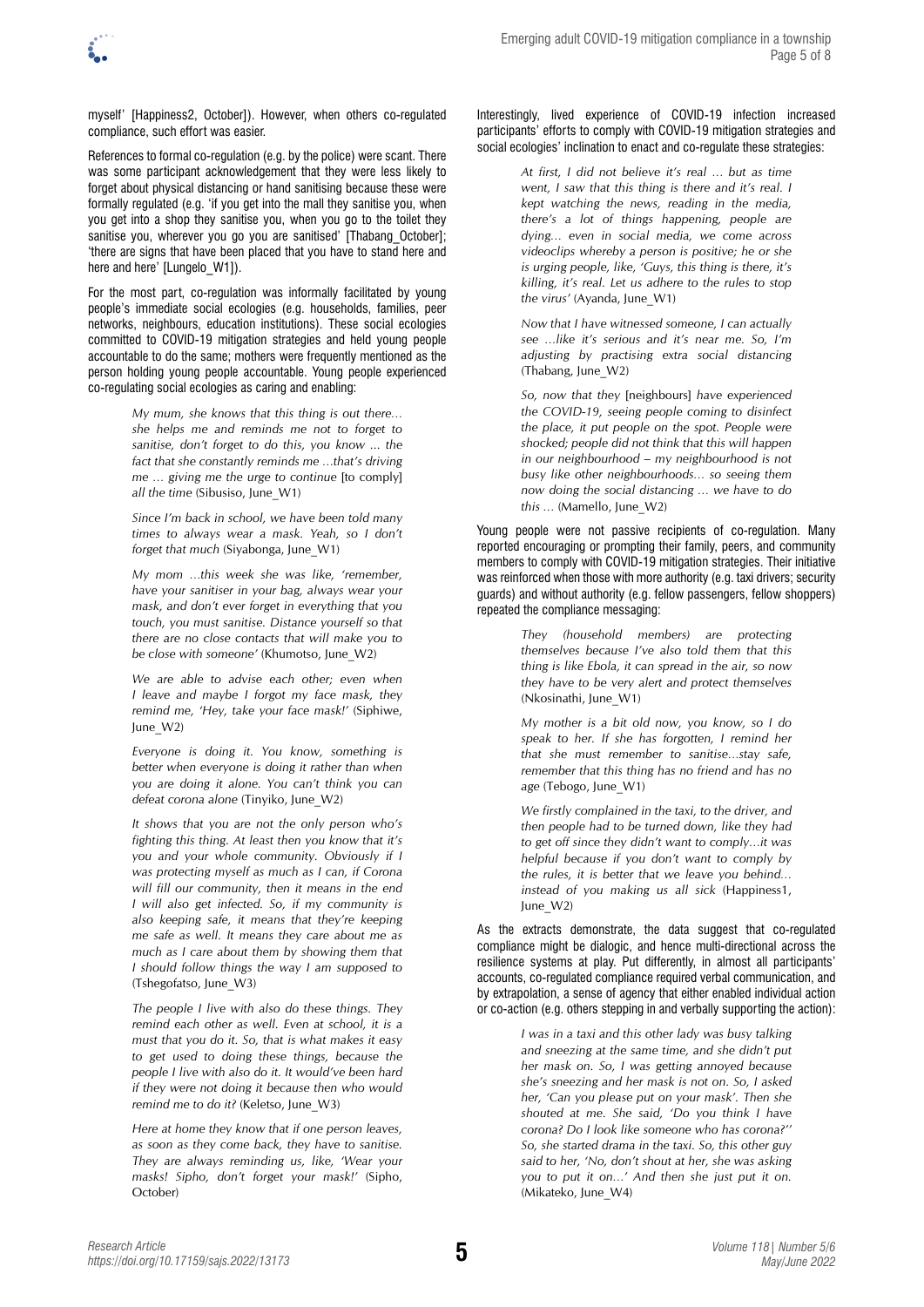myself' [Happiness2, October]). However, when others co-regulated compliance, such effort was easier.

References to formal co-regulation (e.g. by the police) were scant. There was some participant acknowledgement that they were less likely to forget about physical distancing or hand sanitising because these were formally regulated (e.g. 'if you get into the mall they sanitise you, when you get into a shop they sanitise you, when you go to the toilet they sanitise you, wherever you go you are sanitised' [Thabang October]; 'there are signs that have been placed that you have to stand here and here and here' [Lungelo\_W1]).

For the most part, co-regulation was informally facilitated by young people's immediate social ecologies (e.g. households, families, peer networks, neighbours, education institutions). These social ecologies committed to COVID-19 mitigation strategies and held young people accountable to do the same; mothers were frequently mentioned as the person holding young people accountable. Young people experienced co-regulating social ecologies as caring and enabling:

> *My mum, she knows that this thing is out there… she helps me and reminds me not to forget to sanitise, don't forget to do this, you know ... the fact that she constantly reminds me …that's driving me … giving me the urge to continue* [to comply] *all the time* (Sibusiso, June\_W1)

> *Since I'm back in school, we have been told many times to always wear a mask. Yeah, so I don't forget that much* (Siyabonga, June W1)

> *My mom …this week she was like, 'remember, have your sanitiser in your bag, always wear your mask, and don't ever forget in everything that you touch, you must sanitise. Distance yourself so that there are no close contacts that will make you to be close with someone'* (Khumotso, June\_W2)

> *We are able to advise each other; even when I leave and maybe I forgot my face mask, they remind me, 'Hey, take your face mask!'* (Siphiwe, June\_W2)

> *Everyone is doing it. You know, something is better when everyone is doing it rather than when you are doing it alone. You can't think you can defeat corona alone* (Tinyiko, June\_W2)

> *It shows that you are not the only person who's fighting this thing. At least then you know that it's you and your whole community. Obviously if I was protecting myself as much as I can, if Corona will fill our community, then it means in the end I will also get infected. So, if my community is also keeping safe, it means that they're keeping me safe as well. It means they care about me as much as I care about them by showing them that I should follow things the way I am supposed to*  (Tshegofatso, June\_W3)

> *The people I live with also do these things. They remind each other as well. Even at school, it is a must that you do it. So, that is what makes it easy to get used to doing these things, because the people I live with also do it. It would've been hard if they were not doing it because then who would remind me to do it?* (Keletso, June\_W3)

> *Here at home they know that if one person leaves, as soon as they come back, they have to sanitise. They are always reminding us, like, 'Wear your masks! Sipho, don't forget your mask!'* (Sipho, October)

#### Interestingly, lived experience of COVID-19 infection increased participants' efforts to comply with COVID-19 mitigation strategies and social ecologies' inclination to enact and co-regulate these strategies:

*At first, I did not believe it's real … but as time went, I saw that this thing is there and it's real. I kept watching the news, reading in the media, there's a lot of things happening, people are dying… even in social media, we come across videoclips whereby a person is positive; he or she is urging people, like, 'Guys, this thing is there, it's killing, it's real. Let us adhere to the rules to stop the virus'* (Ayanda, June\_W1)

*Now that I have witnessed someone, I can actually see …like it's serious and it's near me. So, I'm adjusting by practising extra social distancing*  (Thabang, June\_W2)

*So, now that they* [neighbours] *have experienced the COVID-19, seeing people coming to disinfect the place, it put people on the spot. People were shocked; people did not think that this will happen in our neighbourhood – my neighbourhood is not busy like other neighbourhoods… so seeing them now doing the social distancing … we have to do this …* (Mamello, June\_W2)

Young people were not passive recipients of co-regulation. Many reported encouraging or prompting their family, peers, and community members to comply with COVID-19 mitigation strategies. Their initiative was reinforced when those with more authority (e.g. taxi drivers; security guards) and without authority (e.g. fellow passengers, fellow shoppers) repeated the compliance messaging:

> *They (household members) are protecting themselves because I've also told them that this thing is like Ebola, it can spread in the air, so now they have to be very alert and protect themselves*  (Nkosinathi, June\_W1)

> *My mother is a bit old now, you know, so I do speak to her. If she has forgotten, I remind her that she must remember to sanitise…stay safe, remember that this thing has no friend and has no age* (Tebogo, June\_W1)

> *We firstly complained in the taxi, to the driver, and then people had to be turned down, like they had to get off since they didn't want to comply…it was helpful because if you don't want to comply by the rules, it is better that we leave you behind… instead of you making us all sick* (Happiness1, June\_W2)

As the extracts demonstrate, the data suggest that co-regulated compliance might be dialogic, and hence multi-directional across the resilience systems at play. Put differently, in almost all participants' accounts, co-regulated compliance required verbal communication, and by extrapolation, a sense of agency that either enabled individual action or co-action (e.g. others stepping in and verbally supporting the action):

> *I was in a taxi and this other lady was busy talking and sneezing at the same time, and she didn't put her mask on. So, I was getting annoyed because she's sneezing and her mask is not on. So, I asked her, 'Can you please put on your mask'. Then she shouted at me. She said, 'Do you think I have corona? Do I look like someone who has corona?'' So, she started drama in the taxi. So, this other guy said to her, 'No, don't shout at her, she was asking you to put it on…' And then she just put it on.*  (Mikateko, June\_W4)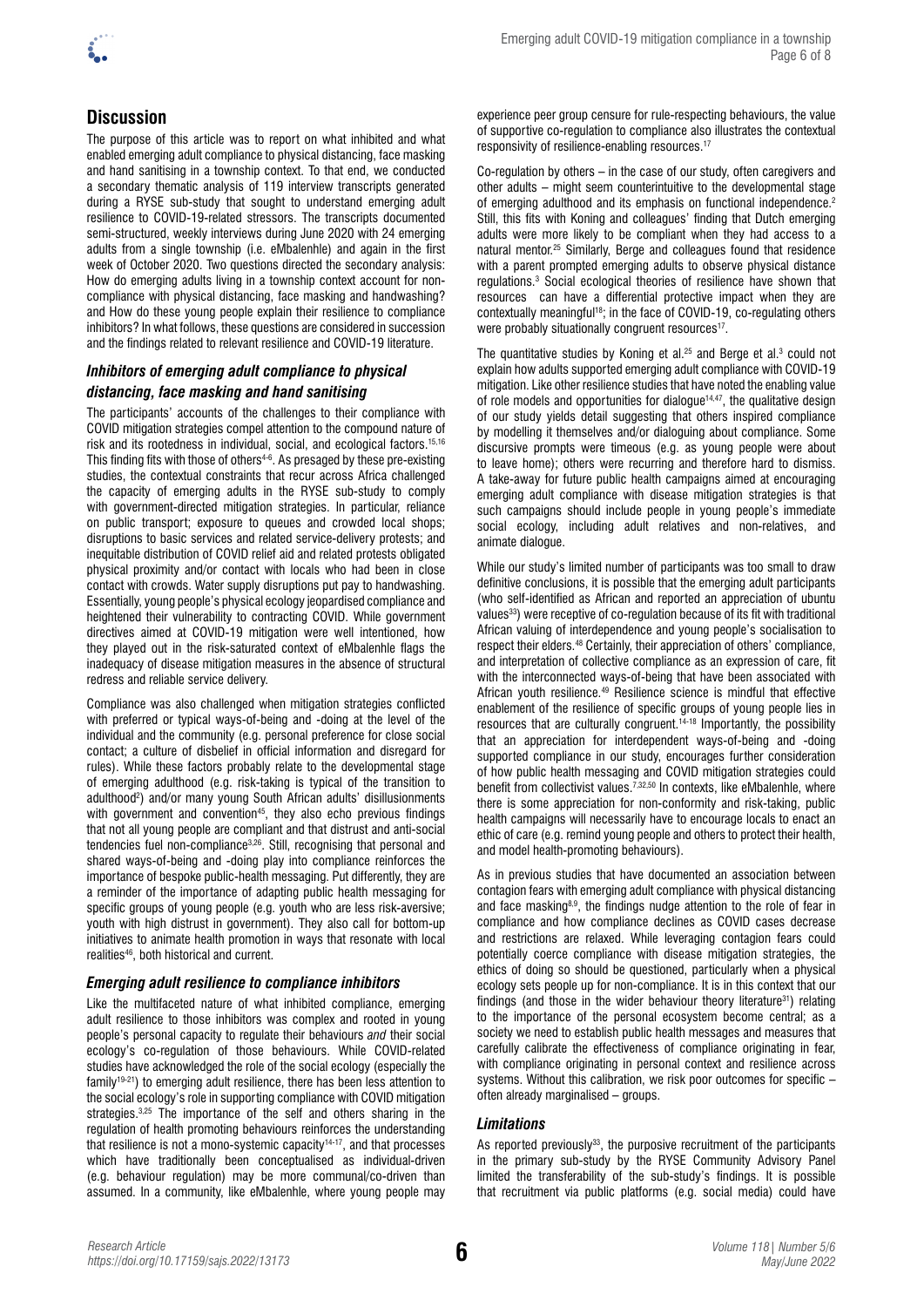

# **Discussion**

The purpose of this article was to report on what inhibited and what enabled emerging adult compliance to physical distancing, face masking and hand sanitising in a township context. To that end, we conducted a secondary thematic analysis of 119 interview transcripts generated during a RYSE sub-study that sought to understand emerging adult resilience to COVID-19-related stressors. The transcripts documented semi-structured, weekly interviews during June 2020 with 24 emerging adults from a single township (i.e. eMbalenhle) and again in the first week of October 2020. Two questions directed the secondary analysis: How do emerging adults living in a township context account for noncompliance with physical distancing, face masking and handwashing? and How do these young people explain their resilience to compliance inhibitors? In what follows, these questions are considered in succession and the findings related to relevant resilience and COVID-19 literature.

## *Inhibitors of emerging adult compliance to physical distancing, face masking and hand sanitising*

The participants' accounts of the challenges to their compliance with COVID mitigation strategies compel attention to the compound nature of risk and its rootedness in individual, social, and ecological factors.15,16 This finding fits with those of others<sup>4-6</sup>. As presaged by these pre-existing studies, the contextual constraints that recur across Africa challenged the capacity of emerging adults in the RYSE sub-study to comply with government-directed mitigation strategies. In particular, reliance on public transport; exposure to queues and crowded local shops; disruptions to basic services and related service-delivery protests; and inequitable distribution of COVID relief aid and related protests obligated physical proximity and/or contact with locals who had been in close contact with crowds. Water supply disruptions put pay to handwashing. Essentially, young people's physical ecology jeopardised compliance and heightened their vulnerability to contracting COVID. While government directives aimed at COVID-19 mitigation were well intentioned, how they played out in the risk-saturated context of eMbalenhle flags the inadequacy of disease mitigation measures in the absence of structural redress and reliable service delivery.

Compliance was also challenged when mitigation strategies conflicted with preferred or typical ways-of-being and -doing at the level of the individual and the community (e.g. personal preference for close social contact; a culture of disbelief in official information and disregard for rules). While these factors probably relate to the developmental stage of emerging adulthood (e.g. risk-taking is typical of the transition to adulthood<sup>2</sup>) and/or many young South African adults' disillusionments with government and convention<sup>45</sup>, they also echo previous findings that not all young people are compliant and that distrust and anti-social tendencies fuel non-compliance3,26. Still, recognising that personal and shared ways-of-being and -doing play into compliance reinforces the importance of bespoke public-health messaging. Put differently, they are a reminder of the importance of adapting public health messaging for specific groups of young people (e.g. youth who are less risk-aversive; youth with high distrust in government). They also call for bottom-up initiatives to animate health promotion in ways that resonate with local realities<sup>46</sup>, both historical and current.

## *Emerging adult resilience to compliance inhibitors*

Like the multifaceted nature of what inhibited compliance, emerging adult resilience to those inhibitors was complex and rooted in young people's personal capacity to regulate their behaviours *and* their social ecology's co-regulation of those behaviours. While COVID-related studies have acknowledged the role of the social ecology (especially the family19-21) to emerging adult resilience, there has been less attention to the social ecology's role in supporting compliance with COVID mitigation strategies.3,25 The importance of the self and others sharing in the regulation of health promoting behaviours reinforces the understanding that resilience is not a mono-systemic capacity<sup>14-17</sup>, and that processes which have traditionally been conceptualised as individual-driven (e.g. behaviour regulation) may be more communal/co-driven than assumed. In a community, like eMbalenhle, where young people may experience peer group censure for rule-respecting behaviours, the value of supportive co-regulation to compliance also illustrates the contextual responsivity of resilience-enabling resources.17

Co-regulation by others – in the case of our study, often caregivers and other adults – might seem counterintuitive to the developmental stage of emerging adulthood and its emphasis on functional independence.<sup>2</sup> Still, this fits with Koning and colleagues' finding that Dutch emerging adults were more likely to be compliant when they had access to a natural mentor.<sup>25</sup> Similarly, Berge and colleagues found that residence with a parent prompted emerging adults to observe physical distance regulations.3 Social ecological theories of resilience have shown that resources can have a differential protective impact when they are contextually meaningful<sup>18</sup>; in the face of COVID-19, co-regulating others were probably situationally congruent resources<sup>17</sup>.

The quantitative studies by Koning et al. $25$  and Berge et al. $3$  could not explain how adults supported emerging adult compliance with COVID-19 mitigation. Like other resilience studies that have noted the enabling value of role models and opportunities for dialogue<sup>14,47</sup>, the qualitative design of our study yields detail suggesting that others inspired compliance by modelling it themselves and/or dialoguing about compliance. Some discursive prompts were timeous (e.g. as young people were about to leave home); others were recurring and therefore hard to dismiss. A take-away for future public health campaigns aimed at encouraging emerging adult compliance with disease mitigation strategies is that such campaigns should include people in young people's immediate social ecology, including adult relatives and non-relatives, and animate dialogue.

While our study's limited number of participants was too small to draw definitive conclusions, it is possible that the emerging adult participants (who self-identified as African and reported an appreciation of ubuntu values<sup>33</sup>) were receptive of co-regulation because of its fit with traditional African valuing of interdependence and young people's socialisation to respect their elders.48 Certainly, their appreciation of others' compliance, and interpretation of collective compliance as an expression of care, fit with the interconnected ways-of-being that have been associated with African youth resilience.49 Resilience science is mindful that effective enablement of the resilience of specific groups of young people lies in resources that are culturally congruent.14-18 Importantly, the possibility that an appreciation for interdependent ways-of-being and -doing supported compliance in our study, encourages further consideration of how public health messaging and COVID mitigation strategies could benefit from collectivist values.7,32,50 In contexts, like eMbalenhle, where there is some appreciation for non-conformity and risk-taking, public health campaigns will necessarily have to encourage locals to enact an ethic of care (e.g. remind young people and others to protect their health, and model health-promoting behaviours).

As in previous studies that have documented an association between contagion fears with emerging adult compliance with physical distancing and face masking<sup>8,9</sup>, the findings nudge attention to the role of fear in compliance and how compliance declines as COVID cases decrease and restrictions are relaxed. While leveraging contagion fears could potentially coerce compliance with disease mitigation strategies, the ethics of doing so should be questioned, particularly when a physical ecology sets people up for non-compliance. It is in this context that our findings (and those in the wider behaviour theory literature<sup>31</sup>) relating to the importance of the personal ecosystem become central; as a society we need to establish public health messages and measures that carefully calibrate the effectiveness of compliance originating in fear, with compliance originating in personal context and resilience across systems. Without this calibration, we risk poor outcomes for specific – often already marginalised – groups.

## *Limitations*

As reported previously $33$ , the purposive recruitment of the participants in the primary sub-study by the RYSE Community Advisory Panel limited the transferability of the sub-study's findings. It is possible that recruitment via public platforms (e.g. social media) could have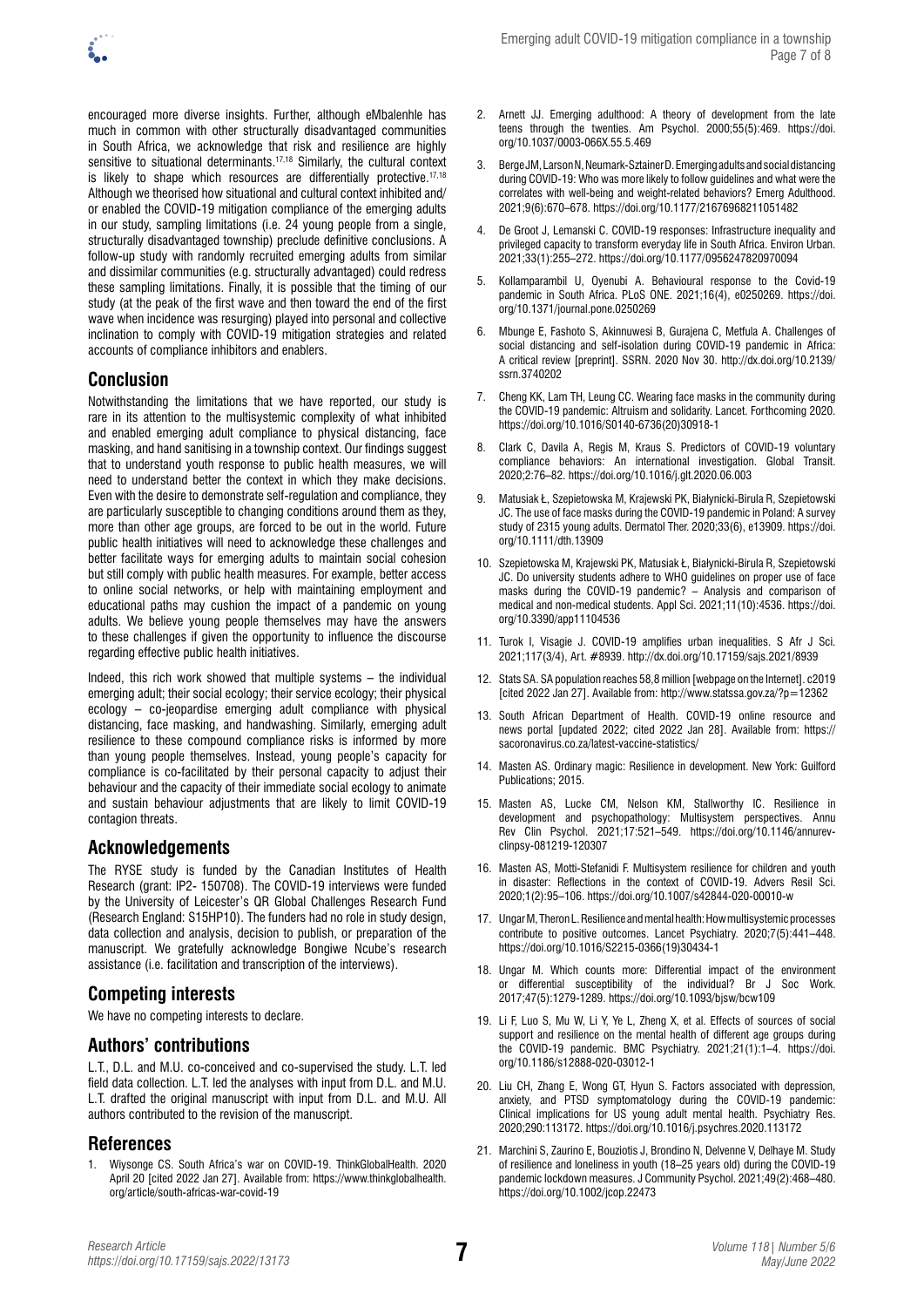

encouraged more diverse insights. Further, although eMbalenhle has much in common with other structurally disadvantaged communities in South Africa, we acknowledge that risk and resilience are highly sensitive to situational determinants.<sup>17,18</sup> Similarly, the cultural context is likely to shape which resources are differentially protective.<sup>17,18</sup> Although we theorised how situational and cultural context inhibited and/ or enabled the COVID-19 mitigation compliance of the emerging adults in our study, sampling limitations (i.e. 24 young people from a single, structurally disadvantaged township) preclude definitive conclusions. A follow-up study with randomly recruited emerging adults from similar and dissimilar communities (e.g. structurally advantaged) could redress these sampling limitations. Finally, it is possible that the timing of our study (at the peak of the first wave and then toward the end of the first wave when incidence was resurging) played into personal and collective inclination to comply with COVID-19 mitigation strategies and related accounts of compliance inhibitors and enablers.

# **Conclusion**

Notwithstanding the limitations that we have reported, our study is rare in its attention to the multisystemic complexity of what inhibited and enabled emerging adult compliance to physical distancing, face masking, and hand sanitising in a township context. Our findings suggest that to understand youth response to public health measures, we will need to understand better the context in which they make decisions. Even with the desire to demonstrate self-regulation and compliance, they are particularly susceptible to changing conditions around them as they, more than other age groups, are forced to be out in the world. Future public health initiatives will need to acknowledge these challenges and better facilitate ways for emerging adults to maintain social cohesion but still comply with public health measures. For example, better access to online social networks, or help with maintaining employment and educational paths may cushion the impact of a pandemic on young adults. We believe young people themselves may have the answers to these challenges if given the opportunity to influence the discourse regarding effective public health initiatives.

Indeed, this rich work showed that multiple systems – the individual emerging adult; their social ecology; their service ecology; their physical ecology – co-jeopardise emerging adult compliance with physical distancing, face masking, and handwashing. Similarly, emerging adult resilience to these compound compliance risks is informed by more than young people themselves. Instead, young people's capacity for compliance is co-facilitated by their personal capacity to adjust their behaviour and the capacity of their immediate social ecology to animate and sustain behaviour adjustments that are likely to limit COVID-19 contagion threats.

# **Acknowledgements**

The RYSE study is funded by the Canadian Institutes of Health Research (grant: IP2- 150708). The COVID-19 interviews were funded by the University of Leicester's QR Global Challenges Research Fund (Research England: S15HP10). The funders had no role in study design, data collection and analysis, decision to publish, or preparation of the manuscript. We gratefully acknowledge Bongiwe Ncube's research assistance (i.e. facilitation and transcription of the interviews).

# **Competing interests**

We have no competing interests to declare.

# **Authors' contributions**

L.T., D.L. and M.U. co-conceived and co-supervised the study. L.T. led field data collection. L.T. led the analyses with input from D.L. and M.U. L.T. drafted the original manuscript with input from D.L. and M.U. All authors contributed to the revision of the manuscript.

# **References**

1. Wiysonge CS. South Africa's war on COVID-19. ThinkGlobalHealth. 2020 April 20 [cited 2022 Jan 27]. Available from: [https://www.thinkglobalhealth.](https://www.thinkglobalhealth.org/article/south-africas-war-covid-19) [org/article/south-africas-war-covid-19](https://www.thinkglobalhealth.org/article/south-africas-war-covid-19)

- 2. Arnett JJ. Emerging adulthood: A theory of development from the late teens through the twenties. Am Psychol. 2000;55(5):469. [https://doi.](https://doi.org/10.1037/0003-066X.55.5.469) [org/10.1037/0003-066X.55.5.469](https://doi.org/10.1037/0003-066X.55.5.469)
- 3. Berge JM, Larson N, Neumark-Sztainer D. Emerging adults and social distancing during COVID-19: Who was more likely to follow guidelines and what were the correlates with well-being and weight-related behaviors? Emerg Adulthood. 2021;9(6):670–678.<https://doi.org/10.1177/21676968211051482>
- 4. De Groot J, Lemanski C. COVID-19 responses: Infrastructure inequality and privileged capacity to transform everyday life in South Africa. Environ Urban. 2021;33(1):255–272. [https://doi.org/10.1177/0956247820970094](https://doi.org/10.1177%2F0956247820970094)
- 5. Kollamparambil U, Oyenubi A. Behavioural response to the Covid-19 pandemic in South Africa. PLoS ONE. 2021;16(4), e0250269. [https://doi.](https://doi.org/10.1371/journal.pone.0250269) [org/10.1371/journal.pone.0250269](https://doi.org/10.1371/journal.pone.0250269)
- 6. Mbunge E, Fashoto S, Akinnuwesi B, Gurajena C, Metfula A. Challenges of social distancing and self-isolation during COVID-19 pandemic in Africa: A critical review [preprint]. SSRN. 2020 Nov 30. [http://dx.doi.org/10.2139/](https://dx.doi.org/10.2139/ssrn.3740202) [ssrn.3740202](https://dx.doi.org/10.2139/ssrn.3740202)
- 7. Cheng KK, Lam TH, Leung CC. Wearing face masks in the community during the COVID-19 pandemic: Altruism and solidarity. Lancet. Forthcoming 2020. [https://doi.org/10.1016/S0140-6736\(20\)30918-1](https://doi.org/10.1016/S0140-6736(20)30918-1)
- 8. Clark C, Davila A, Regis M, Kraus S. Predictors of COVID-19 voluntary compliance behaviors: An international investigation. Global Transit. 2020;2:76–82.<https://doi.org/10.1016/j.glt.2020.06.003>
- 9. Matusiak Ł, Szepietowska M, Krajewski PK, Białynicki-Birula R, Szepietowski JC. The use of face masks during the COVID-19 pandemic in Poland: A survey study of 2315 young adults. Dermatol Ther. 2020;33(6), e13909. [https://doi.](https://doi.org/10.1111/dth.13909) [org/10.1111/dth.13909](https://doi.org/10.1111/dth.13909)
- 10. Szepietowska M, Krajewski PK, Matusiak Ł, Białynicki-Birula R, Szepietowski JC. Do university students adhere to WHO guidelines on proper use of face masks during the COVID-19 pandemic? – Analysis and comparison of medical and non-medical students. Appl Sci. 2021;11(10):4536. [https://doi.](https://doi.org/10.3390/app11104536) [org/10.3390/app11104536](https://doi.org/10.3390/app11104536)
- 11. Turok I, Visagie J. COVID-19 amplifies urban inequalities. S Afr J Sci. 2021;117(3/4), Art. #8939. <http://dx.doi.org/10.17159/sajs.2021/8939>
- 12. Stats SA. SA population reaches 58,8 million [webpage on the Internet]. c2019 [cited 2022 Jan 27]. Available from: <http://www.statssa.gov.za/?p=12362>
- 13. South African Department of Health. COVID-19 online resource and news portal [updated 2022; cited 2022 Jan 28]. Available from: [https://](https://sacoronavirus.co.za/latest-vaccine-statistics/) [sacoronavirus.co.za/latest-vaccine-statistics/](https://sacoronavirus.co.za/latest-vaccine-statistics/)
- 14. Masten AS. Ordinary magic: Resilience in development. New York: Guilford Publications; 2015.
- 15. Masten AS, Lucke CM, Nelson KM, Stallworthy IC. Resilience in development and psychopathology: Multisystem perspectives. Annu Rev Clin Psychol. 2021;17:521–549. [https://doi.org/10.1146/annurev](https://doi.org/10.1146/annurev-clinpsy-081219-120307)[clinpsy-081219-120307](https://doi.org/10.1146/annurev-clinpsy-081219-120307)
- 16. Masten AS, Motti-Stefanidi F. Multisystem resilience for children and youth in disaster: Reflections in the context of COVID-19. Advers Resil Sci. 2020;1(2):95–106. <https://doi.org/10.1007/s42844-020-00010-w>
- 17. Ungar M, Theron L. Resilience and mental health: How multisystemic processes contribute to positive outcomes. Lancet Psychiatry. 2020;7(5):441–448. [https://doi.org/10.1016/S2215-0366\(19\)30434-1](https://doi.org/10.1016/S2215-0366(19)30434-1)
- 18. Ungar M. Which counts more: Differential impact of the environment or differential susceptibility of the individual? Br J Soc Work. 2017;47(5):1279-1289.<https://doi.org/10.1093/bjsw/bcw109>
- 19. Li F, Luo S, Mu W, Li Y, Ye L, Zheng X, et al. Effects of sources of social support and resilience on the mental health of different age groups during the COVID-19 pandemic. BMC Psychiatry. 2021;21(1):1–4. [https://doi.](https://doi.org/10.1186/s12888-020-03012-1) [org/10.1186/s12888-020-03012-1](https://doi.org/10.1186/s12888-020-03012-1)
- 20. Liu CH, Zhang E, Wong GT, Hyun S. Factors associated with depression, anxiety, and PTSD symptomatology during the COVID-19 pandemic: Clinical implications for US young adult mental health. Psychiatry Res. 2020;290:113172. <https://doi.org/10.1016/j.psychres.2020.113172>
- 21. Marchini S, Zaurino E, Bouziotis J, Brondino N, Delvenne V, Delhaye M. Study of resilience and loneliness in youth (18–25 years old) during the COVID-19 pandemic lockdown measures. J Community Psychol. 2021;49(2):468–480. <https://doi.org/10.1002/jcop.22473>